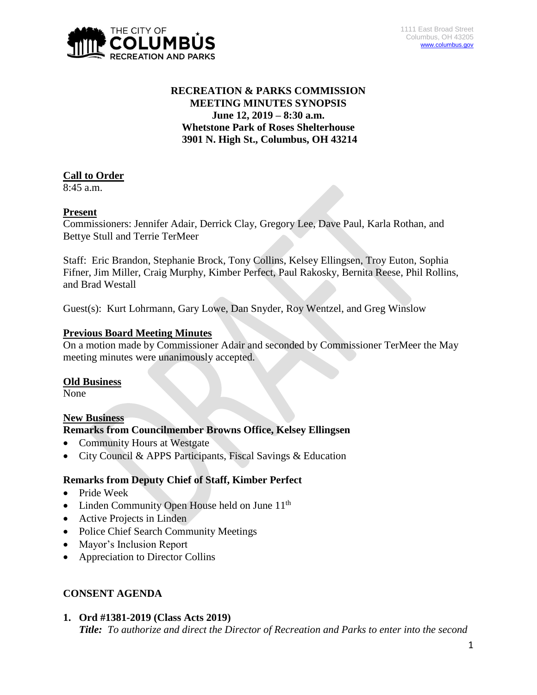

# **RECREATION & PARKS COMMISSION MEETING MINUTES SYNOPSIS June 12, 2019 – 8:30 a.m. Whetstone Park of Roses Shelterhouse 3901 N. High St., Columbus, OH 43214**

# **Call to Order**

8:45 a.m.

# **Present**

Commissioners: Jennifer Adair, Derrick Clay, Gregory Lee, Dave Paul, Karla Rothan, and Bettye Stull and Terrie TerMeer

Staff: Eric Brandon, Stephanie Brock, Tony Collins, Kelsey Ellingsen, Troy Euton, Sophia Fifner, Jim Miller, Craig Murphy, Kimber Perfect, Paul Rakosky, Bernita Reese, Phil Rollins, and Brad Westall

Guest(s): Kurt Lohrmann, Gary Lowe, Dan Snyder, Roy Wentzel, and Greg Winslow

### **Previous Board Meeting Minutes**

On a motion made by Commissioner Adair and seconded by Commissioner TerMeer the May meeting minutes were unanimously accepted.

### **Old Business**

None

# **New Business**

### **Remarks from Councilmember Browns Office, Kelsey Ellingsen**

- Community Hours at Westgate
- City Council & APPS Participants, Fiscal Savings & Education

# **Remarks from Deputy Chief of Staff, Kimber Perfect**

- Pride Week
- Linden Community Open House held on June 11<sup>th</sup>
- Active Projects in Linden
- Police Chief Search Community Meetings
- Mayor's Inclusion Report
- Appreciation to Director Collins

# **CONSENT AGENDA**

**1. Ord #1381-2019 (Class Acts 2019)** *Title: To authorize and direct the Director of Recreation and Parks to enter into the second*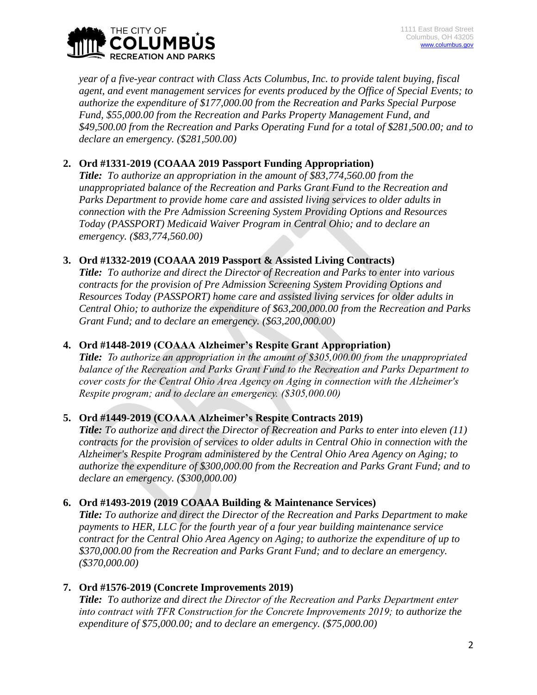

*year of a five-year contract with Class Acts Columbus, Inc. to provide talent buying, fiscal agent, and event management services for events produced by the Office of Special Events; to authorize the expenditure of \$177,000.00 from the Recreation and Parks Special Purpose Fund, \$55,000.00 from the Recreation and Parks Property Management Fund, and \$49,500.00 from the Recreation and Parks Operating Fund for a total of \$281,500.00; and to declare an emergency. (\$281,500.00)*

# **2. Ord #1331-2019 (COAAA 2019 Passport Funding Appropriation)**

*Title: To authorize an appropriation in the amount of \$83,774,560.00 from the unappropriated balance of the Recreation and Parks Grant Fund to the Recreation and Parks Department to provide home care and assisted living services to older adults in connection with the Pre Admission Screening System Providing Options and Resources Today (PASSPORT) Medicaid Waiver Program in Central Ohio; and to declare an emergency. (\$83,774,560.00)*

## **3. Ord #1332-2019 (COAAA 2019 Passport & Assisted Living Contracts)**

*Title: To authorize and direct the Director of Recreation and Parks to enter into various contracts for the provision of Pre Admission Screening System Providing Options and Resources Today (PASSPORT) home care and assisted living services for older adults in Central Ohio; to authorize the expenditure of \$63,200,000.00 from the Recreation and Parks Grant Fund; and to declare an emergency. (\$63,200,000.00)*

# **4. Ord #1448-2019 (COAAA Alzheimer's Respite Grant Appropriation)**

*Title: To authorize an appropriation in the amount of \$305,000.00 from the unappropriated balance of the Recreation and Parks Grant Fund to the Recreation and Parks Department to cover costs for the Central Ohio Area Agency on Aging in connection with the Alzheimer's Respite program; and to declare an emergency. (\$305,000.00)*

# **5. Ord #1449-2019 (COAAA Alzheimer's Respite Contracts 2019)**

*Title: To authorize and direct the Director of Recreation and Parks to enter into eleven (11) contracts for the provision of services to older adults in Central Ohio in connection with the Alzheimer's Respite Program administered by the Central Ohio Area Agency on Aging; to authorize the expenditure of \$300,000.00 from the Recreation and Parks Grant Fund; and to declare an emergency. (\$300,000.00)*

# **6. Ord #1493-2019 (2019 COAAA Building & Maintenance Services)**

*Title: To authorize and direct the Director of the Recreation and Parks Department to make payments to HER, LLC for the fourth year of a four year building maintenance service contract for the Central Ohio Area Agency on Aging; to authorize the expenditure of up to \$370,000.00 from the Recreation and Parks Grant Fund; and to declare an emergency. (\$370,000.00)*

# **7. Ord #1576-2019 (Concrete Improvements 2019)**

*Title: To authorize and direct the Director of the Recreation and Parks Department enter into contract with TFR Construction for the Concrete Improvements 2019; to authorize the expenditure of \$75,000.00; and to declare an emergency. (\$75,000.00)*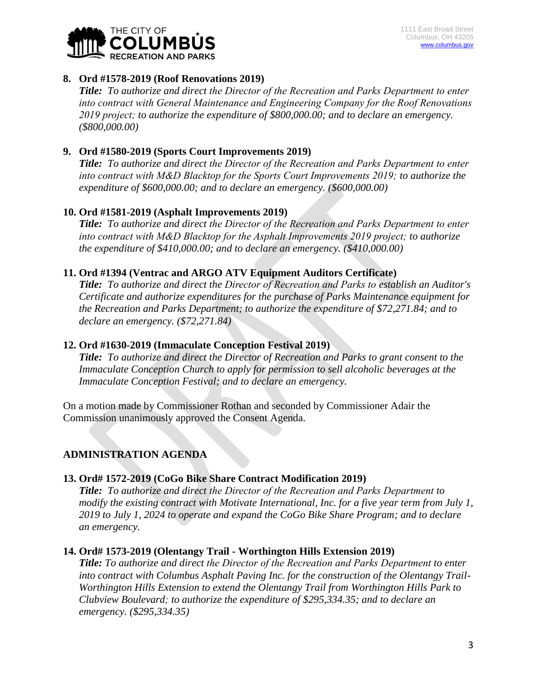

## **8. Ord #1578-2019 (Roof Renovations 2019)**

*Title: To authorize and direct the Director of the Recreation and Parks Department to enter into contract with General Maintenance and Engineering Company for the Roof Renovations 2019 project; to authorize the expenditure of \$800,000.00; and to declare an emergency. (\$800,000.00)*

## **9. Ord #1580-2019 (Sports Court Improvements 2019)**

*Title: To authorize and direct the Director of the Recreation and Parks Department to enter into contract with M&D Blacktop for the Sports Court Improvements 2019; to authorize the expenditure of \$600,000.00; and to declare an emergency. (\$600,000.00)*

## **10. Ord #1581-2019 (Asphalt Improvements 2019)**

*Title: To authorize and direct the Director of the Recreation and Parks Department to enter into contract with M&D Blacktop for the Asphalt Improvements 2019 project; to authorize the expenditure of \$410,000.00; and to declare an emergency. (\$410,000.00)*

### **11. Ord #1394 (Ventrac and ARGO ATV Equipment Auditors Certificate)**

*Title: To authorize and direct the Director of Recreation and Parks to establish an Auditor's Certificate and authorize expenditures for the purchase of Parks Maintenance equipment for the Recreation and Parks Department; to authorize the expenditure of \$72,271.84; and to declare an emergency. (\$72,271.84)*

### **12. Ord #1630-2019 (Immaculate Conception Festival 2019)**

*Title: To authorize and direct the Director of Recreation and Parks to grant consent to the Immaculate Conception Church to apply for permission to sell alcoholic beverages at the Immaculate Conception Festival; and to declare an emergency.*

On a motion made by Commissioner Rothan and seconded by Commissioner Adair the Commission unanimously approved the Consent Agenda.

# **ADMINISTRATION AGENDA**

### **13. Ord# 1572-2019 (CoGo Bike Share Contract Modification 2019)**

*Title: To authorize and direct the Director of the Recreation and Parks Department to modify the existing contract with Motivate International, Inc. for a five year term from July 1, 2019 to July 1, 2024 to operate and expand the CoGo Bike Share Program; and to declare an emergency.*

### **14. Ord# 1573-2019 (Olentangy Trail - Worthington Hills Extension 2019)**

*Title: To authorize and direct the Director of the Recreation and Parks Department to enter into contract with Columbus Asphalt Paving Inc. for the construction of the Olentangy Trail-Worthington Hills Extension to extend the Olentangy Trail from Worthington Hills Park to Clubview Boulevard; to authorize the expenditure of \$295,334.35; and to declare an emergency. (\$295,334.35)*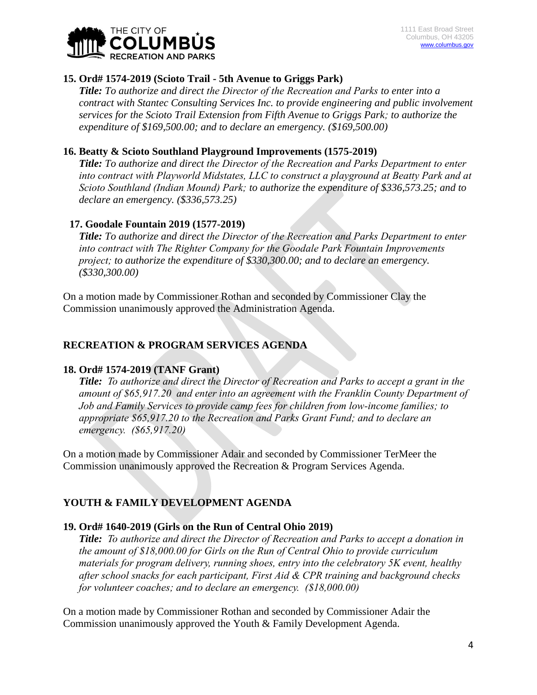

## **15. Ord# 1574-2019 (Scioto Trail - 5th Avenue to Griggs Park)**

*Title: To authorize and direct the Director of the Recreation and Parks to enter into a contract with Stantec Consulting Services Inc. to provide engineering and public involvement services for the Scioto Trail Extension from Fifth Avenue to Griggs Park; to authorize the expenditure of \$169,500.00; and to declare an emergency. (\$169,500.00)*

## **16. Beatty & Scioto Southland Playground Improvements (1575-2019)**

*Title: To authorize and direct the Director of the Recreation and Parks Department to enter into contract with Playworld Midstates, LLC to construct a playground at Beatty Park and at Scioto Southland (Indian Mound) Park; to authorize the expenditure of \$336,573.25; and to declare an emergency. (\$336,573.25)*

## **17. Goodale Fountain 2019 (1577-2019)**

*Title: To authorize and direct the Director of the Recreation and Parks Department to enter into contract with The Righter Company for the Goodale Park Fountain Improvements project; to authorize the expenditure of \$330,300.00; and to declare an emergency. (\$330,300.00)*

On a motion made by Commissioner Rothan and seconded by Commissioner Clay the Commission unanimously approved the Administration Agenda.

# **RECREATION & PROGRAM SERVICES AGENDA**

### **18. Ord# 1574-2019 (TANF Grant)**

*Title: To authorize and direct the Director of Recreation and Parks to accept a grant in the amount of \$65,917.20 and enter into an agreement with the Franklin County Department of Job and Family Services to provide camp fees for children from low-income families; to appropriate \$65,917.20 to the Recreation and Parks Grant Fund; and to declare an emergency. (\$65,917.20)*

On a motion made by Commissioner Adair and seconded by Commissioner TerMeer the Commission unanimously approved the Recreation & Program Services Agenda.

# **YOUTH & FAMILY DEVELOPMENT AGENDA**

# **19. Ord# 1640-2019 (Girls on the Run of Central Ohio 2019)**

*Title: To authorize and direct the Director of Recreation and Parks to accept a donation in the amount of \$18,000.00 for Girls on the Run of Central Ohio to provide curriculum materials for program delivery, running shoes, entry into the celebratory 5K event, healthy after school snacks for each participant, First Aid & CPR training and background checks for volunteer coaches; and to declare an emergency. (\$18,000.00)*

On a motion made by Commissioner Rothan and seconded by Commissioner Adair the Commission unanimously approved the Youth & Family Development Agenda.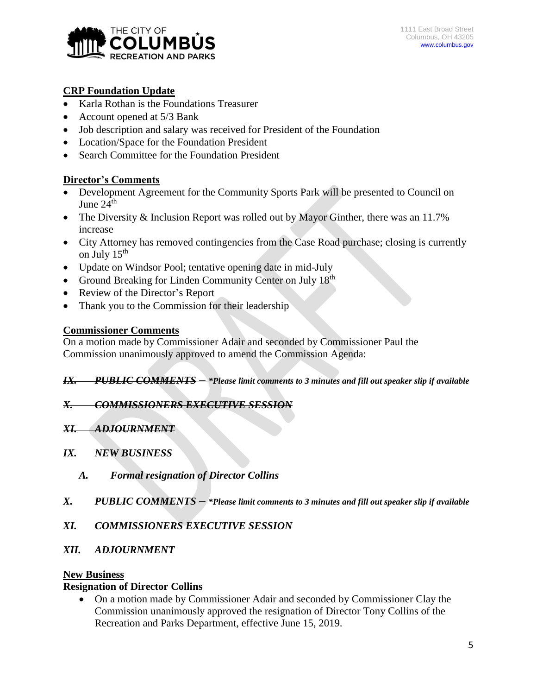

# **CRP Foundation Update**

- Karla Rothan is the Foundations Treasurer
- Account opened at 5/3 Bank
- Job description and salary was received for President of the Foundation
- Location/Space for the Foundation President
- Search Committee for the Foundation President

### **Director's Comments**

- Development Agreement for the Community Sports Park will be presented to Council on June  $24<sup>th</sup>$
- The Diversity & Inclusion Report was rolled out by Mayor Ginther, there was an 11.7% increase
- City Attorney has removed contingencies from the Case Road purchase; closing is currently on July 15<sup>th</sup>
- Update on Windsor Pool; tentative opening date in mid-July
- Ground Breaking for Linden Community Center on July 18<sup>th</sup>
- Review of the Director's Report
- Thank you to the Commission for their leadership

#### **Commissioner Comments**

On a motion made by Commissioner Adair and seconded by Commissioner Paul the Commission unanimously approved to amend the Commission Agenda:

#### *IX. PUBLIC COMMENTS – \*Please limit comments to 3 minutes and fill out speaker slip if available*

#### *X. COMMISSIONERS EXECUTIVE SESSION*

- *XI. ADJOURNMENT*
- *IX. NEW BUSINESS*
	- *A. Formal resignation of Director Collins*
- *X. PUBLIC COMMENTS – \*Please limit comments to 3 minutes and fill out speaker slip if available*
- *XI. COMMISSIONERS EXECUTIVE SESSION*
- *XII. ADJOURNMENT*

#### **New Business**

#### **Resignation of Director Collins**

 On a motion made by Commissioner Adair and seconded by Commissioner Clay the Commission unanimously approved the resignation of Director Tony Collins of the Recreation and Parks Department, effective June 15, 2019.